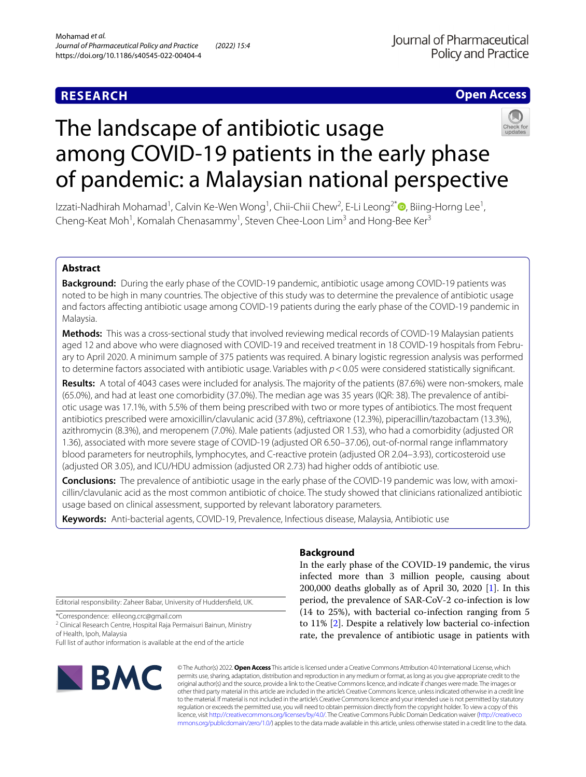# **RESEARCH**

# **Open Access**



# The landscape of antibiotic usage among COVID-19 patients in the early phase of pandemic: a Malaysian national perspective

Izzati-Nadhirah Mohamad<sup>1</sup>[,](http://orcid.org/0000-0002-9042-8435) Calvin Ke-Wen Wong<sup>1</sup>, Chii-Chii Chew<sup>2</sup>, E-Li Leong<sup>2\*</sup> ®, Biing-Horng Lee<sup>1</sup>, Cheng-Keat Moh<sup>1</sup>, Komalah Chenasammy<sup>1</sup>, Steven Chee-Loon Lim<sup>3</sup> and Hong-Bee Ker<sup>3</sup>

# **Abstract**

**Background:** During the early phase of the COVID-19 pandemic, antibiotic usage among COVID-19 patients was noted to be high in many countries. The objective of this study was to determine the prevalence of antibiotic usage and factors afecting antibiotic usage among COVID-19 patients during the early phase of the COVID-19 pandemic in Malaysia.

**Methods:** This was a cross-sectional study that involved reviewing medical records of COVID-19 Malaysian patients aged 12 and above who were diagnosed with COVID-19 and received treatment in 18 COVID-19 hospitals from February to April 2020. A minimum sample of 375 patients was required. A binary logistic regression analysis was performed to determine factors associated with antibiotic usage. Variables with  $p < 0.05$  were considered statistically significant.

**Results:** A total of 4043 cases were included for analysis. The majority of the patients (87.6%) were non-smokers, male (65.0%), and had at least one comorbidity (37.0%). The median age was 35 years (IQR: 38). The prevalence of antibi‑ otic usage was 17.1%, with 5.5% of them being prescribed with two or more types of antibiotics. The most frequent antibiotics prescribed were amoxicillin/clavulanic acid (37.8%), ceftriaxone (12.3%), piperacillin/tazobactam (13.3%), azithromycin (8.3%), and meropenem (7.0%). Male patients (adjusted OR 1.53), who had a comorbidity (adjusted OR 1.36), associated with more severe stage of COVID-19 (adjusted OR 6.50–37.06), out-of-normal range infammatory blood parameters for neutrophils, lymphocytes, and C-reactive protein (adjusted OR 2.04–3.93), corticosteroid use (adjusted OR 3.05), and ICU/HDU admission (adjusted OR 2.73) had higher odds of antibiotic use.

**Conclusions:** The prevalence of antibiotic usage in the early phase of the COVID-19 pandemic was low, with amoxi‑ cillin/clavulanic acid as the most common antibiotic of choice. The study showed that clinicians rationalized antibiotic usage based on clinical assessment, supported by relevant laboratory parameters.

**Keywords:** Anti-bacterial agents, COVID-19, Prevalence, Infectious disease, Malaysia, Antibiotic use

Editorial responsibility: Zaheer Babar, University of Huddersfeld, UK.

\*Correspondence: elileong.crc@gmail.com

<sup>2</sup> Clinical Research Centre, Hospital Raja Permaisuri Bainun, Ministry of Health, Ipoh, Malaysia

Full list of author information is available at the end of the article



# **Background**

In the early phase of the COVID-19 pandemic, the virus infected more than 3 million people, causing about 200,000 deaths globally as of April 30, 2020 [[1\]](#page-9-0). In this period, the prevalence of SAR-CoV-2 co-infection is low (14 to 25%), with bacterial co-infection ranging from 5 to 11% [[2\]](#page-9-1). Despite a relatively low bacterial co-infection rate, the prevalence of antibiotic usage in patients with

© The Author(s) 2022. **Open Access** This article is licensed under a Creative Commons Attribution 4.0 International License, which permits use, sharing, adaptation, distribution and reproduction in any medium or format, as long as you give appropriate credit to the original author(s) and the source, provide a link to the Creative Commons licence, and indicate if changes were made. The images or other third party material in this article are included in the article's Creative Commons licence, unless indicated otherwise in a credit line to the material. If material is not included in the article's Creative Commons licence and your intended use is not permitted by statutory regulation or exceeds the permitted use, you will need to obtain permission directly from the copyright holder. To view a copy of this licence, visit [http://creativecommons.org/licenses/by/4.0/.](http://creativecommons.org/licenses/by/4.0/) The Creative Commons Public Domain Dedication waiver ([http://creativeco](http://creativecommons.org/publicdomain/zero/1.0/) [mmons.org/publicdomain/zero/1.0/](http://creativecommons.org/publicdomain/zero/1.0/)) applies to the data made available in this article, unless otherwise stated in a credit line to the data.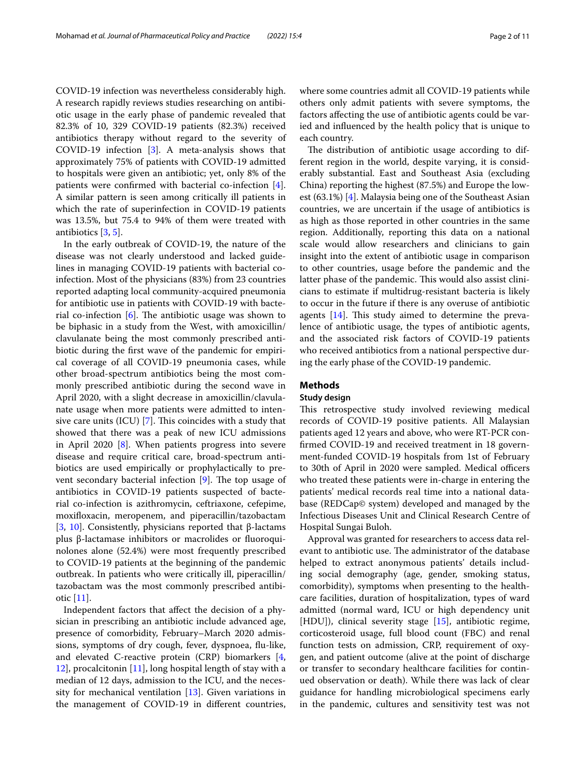COVID-19 infection was nevertheless considerably high. A research rapidly reviews studies researching on antibiotic usage in the early phase of pandemic revealed that 82.3% of 10, 329 COVID-19 patients (82.3%) received antibiotics therapy without regard to the severity of COVID-19 infection [\[3](#page-9-2)]. A meta-analysis shows that approximately 75% of patients with COVID-19 admitted to hospitals were given an antibiotic; yet, only 8% of the patients were confrmed with bacterial co-infection [\[4](#page-9-3)]. A similar pattern is seen among critically ill patients in which the rate of superinfection in COVID-19 patients was 13.5%, but 75.4 to 94% of them were treated with

antibiotics [\[3,](#page-9-2) [5](#page-9-4)]. In the early outbreak of COVID-19, the nature of the disease was not clearly understood and lacked guidelines in managing COVID-19 patients with bacterial coinfection. Most of the physicians (83%) from 23 countries reported adapting local community-acquired pneumonia for antibiotic use in patients with COVID-19 with bacterial co-infection  $[6]$  $[6]$ . The antibiotic usage was shown to be biphasic in a study from the West, with amoxicillin/ clavulanate being the most commonly prescribed antibiotic during the frst wave of the pandemic for empirical coverage of all COVID-19 pneumonia cases, while other broad-spectrum antibiotics being the most commonly prescribed antibiotic during the second wave in April 2020, with a slight decrease in amoxicillin/clavulanate usage when more patients were admitted to intensive care units  $(ICU)$  [[7\]](#page-9-6). This coincides with a study that showed that there was a peak of new ICU admissions in April 2020 [\[8](#page-9-7)]. When patients progress into severe disease and require critical care, broad-spectrum antibiotics are used empirically or prophylactically to prevent secondary bacterial infection  $[9]$  $[9]$ . The top usage of antibiotics in COVID-19 patients suspected of bacterial co-infection is azithromycin, ceftriaxone, cefepime, moxifoxacin, meropenem, and piperacillin/tazobactam [[3,](#page-9-2) [10](#page-9-9)]. Consistently, physicians reported that β-lactams plus β-lactamase inhibitors or macrolides or fuoroquinolones alone (52.4%) were most frequently prescribed to COVID-19 patients at the beginning of the pandemic outbreak. In patients who were critically ill, piperacillin/ tazobactam was the most commonly prescribed antibiotic [[11](#page-9-10)].

Independent factors that afect the decision of a physician in prescribing an antibiotic include advanced age, presence of comorbidity, February–March 2020 admissions, symptoms of dry cough, fever, dyspnoea, fu-like, and elevated C-reactive protein (CRP) biomarkers [\[4](#page-9-3), [12\]](#page-9-11), procalcitonin [[11\]](#page-9-10), long hospital length of stay with a median of 12 days, admission to the ICU, and the necessity for mechanical ventilation [\[13](#page-9-12)]. Given variations in the management of COVID-19 in diferent countries,

where some countries admit all COVID-19 patients while others only admit patients with severe symptoms, the factors afecting the use of antibiotic agents could be varied and infuenced by the health policy that is unique to each country.

The distribution of antibiotic usage according to different region in the world, despite varying, it is considerably substantial. East and Southeast Asia (excluding China) reporting the highest (87.5%) and Europe the lowest (63.1%) [\[4](#page-9-3)]. Malaysia being one of the Southeast Asian countries, we are uncertain if the usage of antibiotics is as high as those reported in other countries in the same region. Additionally, reporting this data on a national scale would allow researchers and clinicians to gain insight into the extent of antibiotic usage in comparison to other countries, usage before the pandemic and the latter phase of the pandemic. This would also assist clinicians to estimate if multidrug-resistant bacteria is likely to occur in the future if there is any overuse of antibiotic agents  $[14]$  $[14]$ . This study aimed to determine the prevalence of antibiotic usage, the types of antibiotic agents, and the associated risk factors of COVID-19 patients who received antibiotics from a national perspective during the early phase of the COVID-19 pandemic.

# **Methods**

# **Study design**

This retrospective study involved reviewing medical records of COVID-19 positive patients. All Malaysian patients aged 12 years and above, who were RT-PCR confrmed COVID-19 and received treatment in 18 government-funded COVID-19 hospitals from 1st of February to 30th of April in 2020 were sampled. Medical officers who treated these patients were in-charge in entering the patients' medical records real time into a national database (REDCap© system) developed and managed by the Infectious Diseases Unit and Clinical Research Centre of Hospital Sungai Buloh.

Approval was granted for researchers to access data relevant to antibiotic use. The administrator of the database helped to extract anonymous patients' details including social demography (age, gender, smoking status, comorbidity), symptoms when presenting to the healthcare facilities, duration of hospitalization, types of ward admitted (normal ward, ICU or high dependency unit [HDU]), clinical severity stage [[15\]](#page-9-14), antibiotic regime, corticosteroid usage, full blood count (FBC) and renal function tests on admission, CRP, requirement of oxygen, and patient outcome (alive at the point of discharge or transfer to secondary healthcare facilities for continued observation or death). While there was lack of clear guidance for handling microbiological specimens early in the pandemic, cultures and sensitivity test was not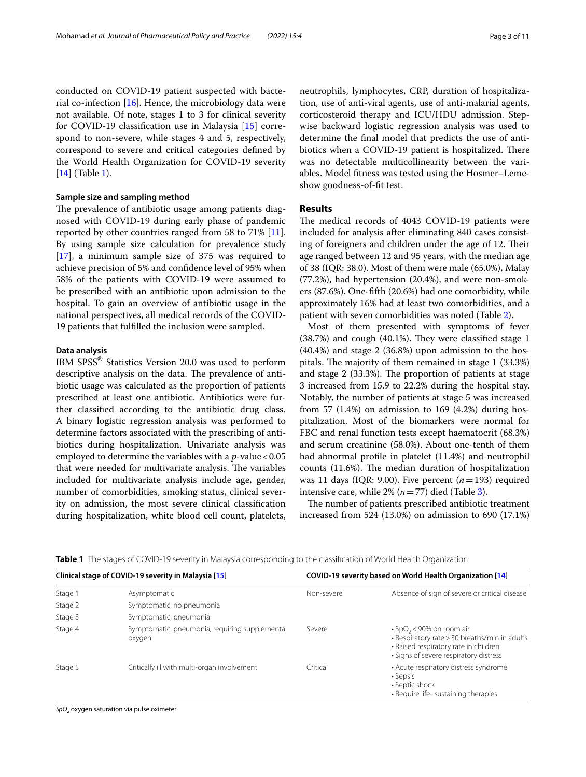conducted on COVID-19 patient suspected with bacterial co-infection  $[16]$  $[16]$  $[16]$ . Hence, the microbiology data were not available. Of note, stages 1 to 3 for clinical severity for COVID-19 classifcation use in Malaysia [[15\]](#page-9-14) correspond to non-severe, while stages 4 and 5, respectively, correspond to severe and critical categories defned by the World Health Organization for COVID-19 severity [[14\]](#page-9-13) (Table [1](#page-2-0)).

# **Sample size and sampling method**

The prevalence of antibiotic usage among patients diagnosed with COVID-19 during early phase of pandemic reported by other countries ranged from 58 to 71% [\[11](#page-9-10)]. By using sample size calculation for prevalence study [[17\]](#page-9-16), a minimum sample size of 375 was required to achieve precision of 5% and confdence level of 95% when 58% of the patients with COVID-19 were assumed to be prescribed with an antibiotic upon admission to the hospital. To gain an overview of antibiotic usage in the national perspectives, all medical records of the COVID-19 patients that fulflled the inclusion were sampled.

#### **Data analysis**

IBM SPSS® Statistics Version 20.0 was used to perform descriptive analysis on the data. The prevalence of antibiotic usage was calculated as the proportion of patients prescribed at least one antibiotic. Antibiotics were further classifed according to the antibiotic drug class. A binary logistic regression analysis was performed to determine factors associated with the prescribing of antibiotics during hospitalization. Univariate analysis was employed to determine the variables with a  $p$ -value < 0.05 that were needed for multivariate analysis. The variables included for multivariate analysis include age, gender, number of comorbidities, smoking status, clinical severity on admission, the most severe clinical classifcation during hospitalization, white blood cell count, platelets, neutrophils, lymphocytes, CRP, duration of hospitalization, use of anti-viral agents, use of anti-malarial agents, corticosteroid therapy and ICU/HDU admission. Stepwise backward logistic regression analysis was used to determine the fnal model that predicts the use of antibiotics when a COVID-19 patient is hospitalized. There was no detectable multicollinearity between the variables. Model ftness was tested using the Hosmer–Lemeshow goodness-of-ft test.

## **Results**

The medical records of 4043 COVID-19 patients were included for analysis after eliminating 840 cases consisting of foreigners and children under the age of 12. Their age ranged between 12 and 95 years, with the median age of 38 (IQR: 38.0). Most of them were male (65.0%), Malay (77.2%), had hypertension (20.4%), and were non-smokers (87.6%). One-ffth (20.6%) had one comorbidity, while approximately 16% had at least two comorbidities, and a patient with seven comorbidities was noted (Table [2\)](#page-3-0).

Most of them presented with symptoms of fever  $(38.7%)$  and cough  $(40.1%)$ . They were classified stage 1 (40.4%) and stage 2 (36.8%) upon admission to the hospitals. The majority of them remained in stage  $1$  (33.3%) and stage 2 (33.3%). The proportion of patients at stage 3 increased from 15.9 to 22.2% during the hospital stay. Notably, the number of patients at stage 5 was increased from 57  $(1.4%)$  on admission to 169  $(4.2%)$  during hospitalization. Most of the biomarkers were normal for FBC and renal function tests except haematocrit (68.3%) and serum creatinine (58.0%). About one-tenth of them had abnormal profle in platelet (11.4%) and neutrophil counts (11.6%). The median duration of hospitalization was 11 days (IQR: 9.00). Five percent (*n*=193) required intensive care, while  $2\%$   $(n=77)$  died (Table [3](#page-4-0)).

The number of patients prescribed antibiotic treatment increased from 524 (13.0%) on admission to 690 (17.1%)

| Clinical stage of COVID-19 severity in Malaysia [15] |                                                          | COVID-19 severity based on World Health Organization [14] |                                                                                                                                                                                |  |  |
|------------------------------------------------------|----------------------------------------------------------|-----------------------------------------------------------|--------------------------------------------------------------------------------------------------------------------------------------------------------------------------------|--|--|
| Stage 1                                              | Asymptomatic                                             | Non-severe                                                | Absence of sign of severe or critical disease                                                                                                                                  |  |  |
| Stage 2                                              | Symptomatic, no pneumonia                                |                                                           |                                                                                                                                                                                |  |  |
| Stage 3                                              | Symptomatic, pneumonia                                   |                                                           |                                                                                                                                                                                |  |  |
| Stage 4                                              | Symptomatic, pneumonia, requiring supplemental<br>oxygen | Severe                                                    | $\cdot$ SpO <sub>2</sub> < 90% on room air<br>• Respiratory rate > 30 breaths/min in adults<br>· Raised respiratory rate in children<br>· Signs of severe respiratory distress |  |  |
| Stage 5                                              | Critically ill with multi-organ involvement              | Critical                                                  | • Acute respiratory distress syndrome<br>• Sepsis<br>• Septic shock<br>• Require life- sustaining therapies                                                                    |  |  |

<span id="page-2-0"></span>**Table 1** The stages of COVID-19 severity in Malaysia corresponding to the classifcation of World Health Organization

*SpO2* oxygen saturation via pulse oximeter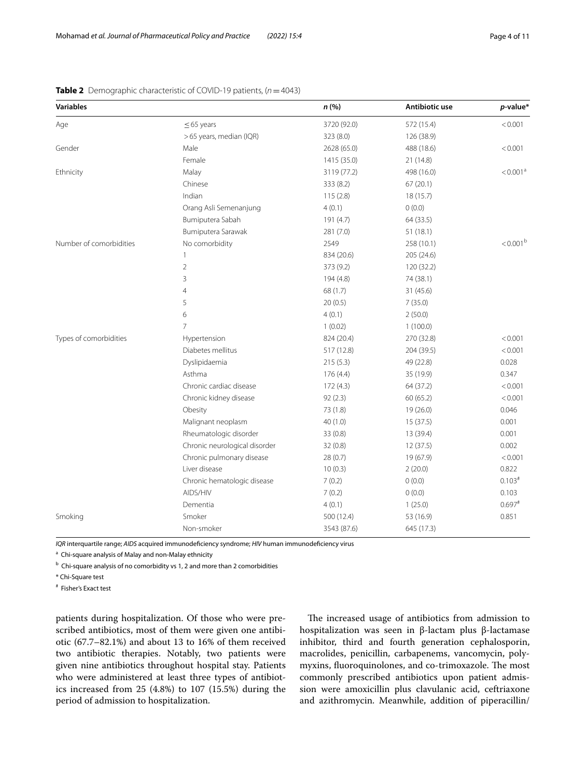| <b>Variables</b>        |                               | n (%)       | Antibiotic use | $p$ -value*          |
|-------------------------|-------------------------------|-------------|----------------|----------------------|
| Age                     | $\leq$ 65 years               | 3720 (92.0) | 572 (15.4)     | < 0.001              |
|                         | >65 years, median (IQR)       | 323 (8.0)   | 126 (38.9)     |                      |
| Gender                  | Male                          | 2628 (65.0) | 488 (18.6)     | < 0.001              |
|                         | Female                        | 1415 (35.0) | 21(14.8)       |                      |
| Ethnicity               | Malay                         | 3119 (77.2) | 498 (16.0)     | < 0.001 <sup>a</sup> |
|                         | Chinese                       | 333 (8.2)   | 67(20.1)       |                      |
|                         | Indian                        | 115(2.8)    | 18 (15.7)      |                      |
|                         | Orang Asli Semenanjung        | 4(0.1)      | 0(0.0)         |                      |
|                         | Bumiputera Sabah              | 191 (4.7)   | 64 (33.5)      |                      |
|                         | Bumiputera Sarawak            | 281 (7.0)   | 51(18.1)       |                      |
| Number of comorbidities | No comorbidity                | 2549        | 258 (10.1)     | $< 0.001^{\rm b}$    |
|                         | 1                             | 834 (20.6)  | 205 (24.6)     |                      |
|                         | $\overline{2}$                | 373 (9.2)   | 120 (32.2)     |                      |
|                         | 3                             | 194 (4.8)   | 74 (38.1)      |                      |
|                         | 4                             | 68 (1.7)    | 31(45.6)       |                      |
|                         | 5                             | 20(0.5)     | 7(35.0)        |                      |
|                         | 6                             | 4(0.1)      | 2(50.0)        |                      |
|                         | $\overline{7}$                | 1(0.02)     | 1(100.0)       |                      |
| Types of comorbidities  | Hypertension                  | 824 (20.4)  | 270 (32.8)     | < 0.001              |
|                         | Diabetes mellitus             | 517 (12.8)  | 204 (39.5)     | < 0.001              |
|                         | Dyslipidaemia                 | 215 (5.3)   | 49 (22.8)      | 0.028                |
|                         | Asthma                        | 176(4.4)    | 35 (19.9)      | 0.347                |
|                         | Chronic cardiac disease       | 172(4.3)    | 64 (37.2)      | < 0.001              |
|                         | Chronic kidney disease        | 92(2.3)     | 60 (65.2)      | < 0.001              |
|                         | Obesity                       | 73 (1.8)    | 19 (26.0)      | 0.046                |
|                         | Malignant neoplasm            | 40(1.0)     | 15 (37.5)      | 0.001                |
|                         | Rheumatologic disorder        | 33(0.8)     | 13 (39.4)      | 0.001                |
|                         | Chronic neurological disorder | 32(0.8)     | 12(37.5)       | 0.002                |
|                         | Chronic pulmonary disease     | 28(0.7)     | 19 (67.9)      | < 0.001              |
|                         | Liver disease                 | 10(0.3)     | 2(20.0)        | 0.822                |
|                         | Chronic hematologic disease   | 7(0.2)      | 0(0.0)         | $0.103*$             |
|                         | AIDS/HIV                      | 7(0.2)      | 0(0.0)         | 0.103                |
|                         | Dementia                      | 4(0.1)      | 1(25.0)        | $0.697$ <sup>#</sup> |
| Smoking                 | Smoker                        | 500 (12.4)  | 53 (16.9)      | 0.851                |
|                         | Non-smoker                    | 3543 (87.6) | 645 (17.3)     |                      |

<span id="page-3-0"></span>**Table 2** Demographic characteristic of COVID-19 patients, (*n*=4043)

*IQR* interquartile range; *AIDS* acquired immunodefciency syndrome; *HIV* human immunodefciency virus

<sup>a</sup> Chi-square analysis of Malay and non-Malay ethnicity

<sup>b</sup> Chi-square analysis of no comorbidity vs 1, 2 and more than 2 comorbidities

\* Chi-Square test

# Fisher's Exact test

patients during hospitalization. Of those who were prescribed antibiotics, most of them were given one antibiotic (67.7–82.1%) and about 13 to 16% of them received two antibiotic therapies. Notably, two patients were given nine antibiotics throughout hospital stay. Patients who were administered at least three types of antibiotics increased from 25 (4.8%) to 107 (15.5%) during the period of admission to hospitalization.

The increased usage of antibiotics from admission to hospitalization was seen in β-lactam plus β-lactamase inhibitor, third and fourth generation cephalosporin, macrolides, penicillin, carbapenems, vancomycin, polymyxins, fluoroquinolones, and co-trimoxazole. The most commonly prescribed antibiotics upon patient admission were amoxicillin plus clavulanic acid, ceftriaxone and azithromycin. Meanwhile, addition of piperacillin/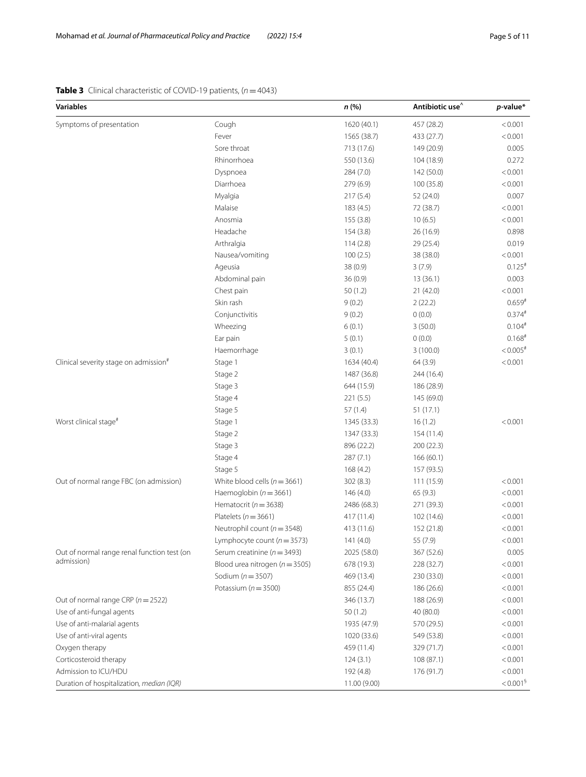# <span id="page-4-0"></span>**Table 3** Clinical characteristic of COVID-19 patients, (*n*=4043)

| <b>Variables</b>                                  |                                    | n (%)        | Antibiotic use <sup>^</sup> | $p$ -value*            |
|---------------------------------------------------|------------------------------------|--------------|-----------------------------|------------------------|
| Symptoms of presentation                          | Cough                              | 1620 (40.1)  | 457 (28.2)                  | < 0.001                |
|                                                   | Fever                              | 1565 (38.7)  | 433 (27.7)                  | < 0.001                |
|                                                   | Sore throat                        | 713 (17.6)   | 149 (20.9)                  | 0.005                  |
|                                                   | Rhinorrhoea                        | 550 (13.6)   | 104 (18.9)                  | 0.272                  |
|                                                   | Dyspnoea                           | 284 (7.0)    | 142 (50.0)                  | < 0.001                |
|                                                   | Diarrhoea                          | 279 (6.9)    | 100 (35.8)                  | < 0.001                |
|                                                   | Myalgia                            | 217(5.4)     | 52 (24.0)                   | 0.007                  |
|                                                   | Malaise                            | 183 (4.5)    | 72 (38.7)                   | < 0.001                |
|                                                   | Anosmia                            | 155 (3.8)    | 10(6.5)                     | < 0.001                |
|                                                   | Headache                           | 154(3.8)     | 26 (16.9)                   | 0.898                  |
|                                                   | Arthralgia                         | 114(2.8)     | 29 (25.4)                   | 0.019                  |
|                                                   | Nausea/vomiting                    | 100(2.5)     | 38 (38.0)                   | < 0.001                |
|                                                   | Ageusia                            | 38 (0.9)     | 3(7.9)                      | $0.125$ <sup>#</sup>   |
|                                                   | Abdominal pain                     | 36(0.9)      | 13(36.1)                    | 0.003                  |
|                                                   | Chest pain                         | 50(1.2)      | 21(42.0)                    | < 0.001                |
|                                                   | Skin rash                          | 9(0.2)       | 2(22.2)                     | $0.659*$               |
|                                                   | Conjunctivitis                     | 9(0.2)       | 0(0.0)                      | $0.374^{#}$            |
|                                                   | Wheezing                           | 6(0.1)       | 3(50.0)                     | $0.104$ #              |
|                                                   | Ear pain                           | 5(0.1)       | 0(0.0)                      | $0.168$ #              |
|                                                   | Haemorrhage                        | 3(0.1)       | 3(100.0)                    | $< 0.005$ #            |
| Clinical severity stage on admission <sup>#</sup> | Stage 1                            | 1634 (40.4)  | 64 (3.9)                    | < 0.001                |
|                                                   | Stage 2                            | 1487 (36.8)  | 244 (16.4)                  |                        |
|                                                   | Stage 3                            | 644 (15.9)   | 186 (28.9)                  |                        |
|                                                   | Stage 4                            | 221 (5.5)    | 145 (69.0)                  |                        |
|                                                   | Stage 5                            | 57(1.4)      | 51(17.1)                    |                        |
| Worst clinical stage <sup>#</sup>                 | Stage 1                            | 1345 (33.3)  | 16(1.2)                     | < 0.001                |
|                                                   | Stage 2                            | 1347 (33.3)  | 154 (11.4)                  |                        |
|                                                   | Stage 3                            | 896 (22.2)   | 200 (22.3)                  |                        |
|                                                   | Stage 4                            | 287 (7.1)    | 166(60.1)                   |                        |
|                                                   | Stage 5                            | 168 (4.2)    | 157 (93.5)                  |                        |
| Out of normal range FBC (on admission)            | White blood cells ( $n = 3661$ )   | 302(8.3)     | 111 (15.9)                  | < 0.001                |
|                                                   | Haemoglobin ( $n = 3661$ )         | 146 (4.0)    | 65(9.3)                     | < 0.001                |
|                                                   | Hematocrit ( $n = 3638$ )          | 2486 (68.3)  | 271 (39.3)                  | < 0.001                |
|                                                   | Platelets ( $n = 3661$ )           | 417 (11.4)   | 102 (14.6)                  | < 0.001                |
|                                                   | Neutrophil count ( $n = 3548$ )    | 413 (11.6)   | 152 (21.8)                  | < 0.001                |
|                                                   | Lymphocyte count ( $n = 3573$ )    | 141 (4.0)    | 55 (7.9)                    | < 0.001                |
| Out of normal range renal function test (on       | Serum creatinine ( $n = 3493$ )    | 2025 (58.0)  | 367 (52.6)                  | 0.005                  |
| admission)                                        | Blood urea nitrogen ( $n = 3505$ ) | 678 (19.3)   | 228 (32.7)                  | < 0.001                |
|                                                   | Sodium ( $n = 3507$ )              | 469 (13.4)   | 230 (33.0)                  | < 0.001                |
|                                                   | Potassium ( $n = 3500$ )           | 855 (24.4)   | 186 (26.6)                  | < 0.001                |
| Out of normal range CRP ( $n = 2522$ )            |                                    | 346 (13.7)   | 188 (26.9)                  | < 0.001                |
| Use of anti-fungal agents                         |                                    | 50(1.2)      | 40 (80.0)                   | < 0.001                |
| Use of anti-malarial agents                       |                                    | 1935 (47.9)  | 570 (29.5)                  | < 0.001                |
| Use of anti-viral agents                          |                                    | 1020 (33.6)  | 549 (53.8)                  | < 0.001                |
| Oxygen therapy                                    |                                    | 459 (11.4)   | 329 (71.7)                  | < 0.001                |
| Corticosteroid therapy                            |                                    | 124(3.1)     | 108 (87.1)                  | < 0.001                |
| Admission to ICU/HDU                              |                                    | 192 (4.8)    | 176 (91.7)                  | < 0.001                |
| Duration of hospitalization, median (IQR)         |                                    | 11.00 (9.00) |                             | $< 0.001^{\frac{5}{}}$ |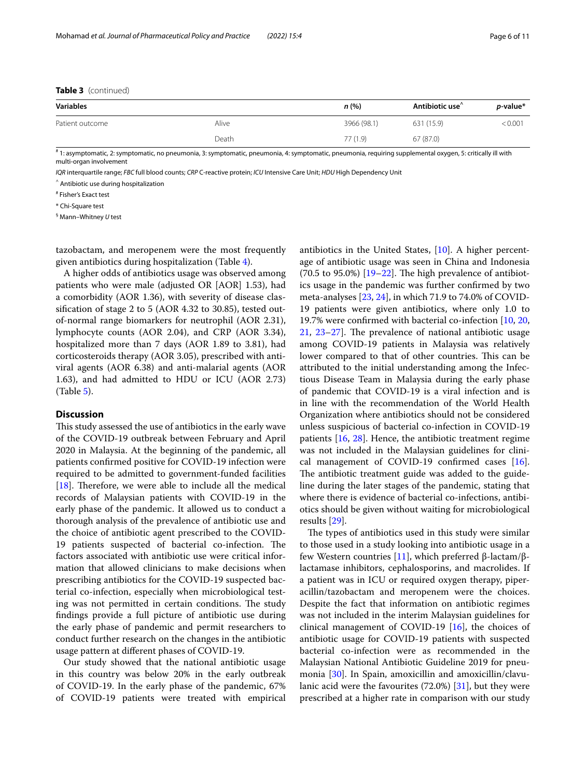# **Table 3** (continued)

| <b>Variables</b> |       | n (%)       | Antibiotic use <sup><math>\hat{}</math></sup> | <i>p</i> -value* |
|------------------|-------|-------------|-----------------------------------------------|------------------|
| Patient outcome  | Alive | 3966 (98.1) | 631 (15.9)                                    | < 0.001          |
|                  | Death | 77(1.9)     | 67(87.0)                                      |                  |

# 1: asymptomatic, 2: symptomatic, no pneumonia, 3: symptomatic, pneumonia, 4: symptomatic, pneumonia, requiring supplemental oxygen, 5: critically ill with multi-organ involvement

*IQR* interquartile range; *FBC* full blood counts; *CRP* C-reactive protein; *ICU* Intensive Care Unit; *HDU* High Dependency Unit

^ Antibiotic use during hospitalization

# Fisher's Exact test

\* Chi-Square test

§ Mann–Whitney *U* test

tazobactam, and meropenem were the most frequently given antibiotics during hospitalization (Table [4](#page-6-0)).

A higher odds of antibiotics usage was observed among patients who were male (adjusted OR [AOR] 1.53), had a comorbidity (AOR 1.36), with severity of disease classifcation of stage 2 to 5 (AOR 4.32 to 30.85), tested outof-normal range biomarkers for neutrophil (AOR 2.31), lymphocyte counts (AOR 2.04), and CRP (AOR 3.34), hospitalized more than 7 days (AOR 1.89 to 3.81), had corticosteroids therapy (AOR 3.05), prescribed with antiviral agents (AOR 6.38) and anti-malarial agents (AOR 1.63), and had admitted to HDU or ICU (AOR 2.73) (Table [5](#page-7-0)).

# **Discussion**

This study assessed the use of antibiotics in the early wave of the COVID-19 outbreak between February and April 2020 in Malaysia. At the beginning of the pandemic, all patients confrmed positive for COVID-19 infection were required to be admitted to government-funded facilities [[18\]](#page-9-17). Therefore, we were able to include all the medical records of Malaysian patients with COVID-19 in the early phase of the pandemic. It allowed us to conduct a thorough analysis of the prevalence of antibiotic use and the choice of antibiotic agent prescribed to the COVID-19 patients suspected of bacterial co-infection. The factors associated with antibiotic use were critical information that allowed clinicians to make decisions when prescribing antibiotics for the COVID-19 suspected bacterial co-infection, especially when microbiological testing was not permitted in certain conditions. The study fndings provide a full picture of antibiotic use during the early phase of pandemic and permit researchers to conduct further research on the changes in the antibiotic usage pattern at diferent phases of COVID-19.

Our study showed that the national antibiotic usage in this country was below 20% in the early outbreak of COVID-19. In the early phase of the pandemic, 67% of COVID-19 patients were treated with empirical antibiotics in the United States, [[10\]](#page-9-9). A higher percentage of antibiotic usage was seen in China and Indonesia (70.5 to 95.0%)  $[19-22]$  $[19-22]$  $[19-22]$ . The high prevalence of antibiotics usage in the pandemic was further confrmed by two meta-analyses [[23,](#page-10-1) [24](#page-10-2)], in which 71.9 to 74.0% of COVID-19 patients were given antibiotics, where only 1.0 to 19.7% were confrmed with bacterial co-infection [[10,](#page-9-9) [20](#page-9-19),  $21, 23-27$  $21, 23-27$  $21, 23-27$ ]. The prevalence of national antibiotic usage among COVID-19 patients in Malaysia was relatively lower compared to that of other countries. This can be attributed to the initial understanding among the Infectious Disease Team in Malaysia during the early phase of pandemic that COVID-19 is a viral infection and is in line with the recommendation of the World Health Organization where antibiotics should not be considered unless suspicious of bacterial co-infection in COVID-19 patients [[16](#page-9-15), [28\]](#page-10-4). Hence, the antibiotic treatment regime was not included in the Malaysian guidelines for clinical management of COVID-19 confrmed cases [\[16](#page-9-15)]. The antibiotic treatment guide was added to the guideline during the later stages of the pandemic, stating that where there is evidence of bacterial co-infections, antibiotics should be given without waiting for microbiological results [\[29](#page-10-5)].

The types of antibiotics used in this study were similar to those used in a study looking into antibiotic usage in a few Western countries [\[11](#page-9-10)], which preferred β-lactam/βlactamase inhibitors, cephalosporins, and macrolides. If a patient was in ICU or required oxygen therapy, piperacillin/tazobactam and meropenem were the choices. Despite the fact that information on antibiotic regimes was not included in the interim Malaysian guidelines for clinical management of COVID-19 [[16\]](#page-9-15), the choices of antibiotic usage for COVID-19 patients with suspected bacterial co-infection were as recommended in the Malaysian National Antibiotic Guideline 2019 for pneumonia [\[30](#page-10-6)]. In Spain, amoxicillin and amoxicillin/clavulanic acid were the favourites (72.0%) [\[31\]](#page-10-7), but they were prescribed at a higher rate in comparison with our study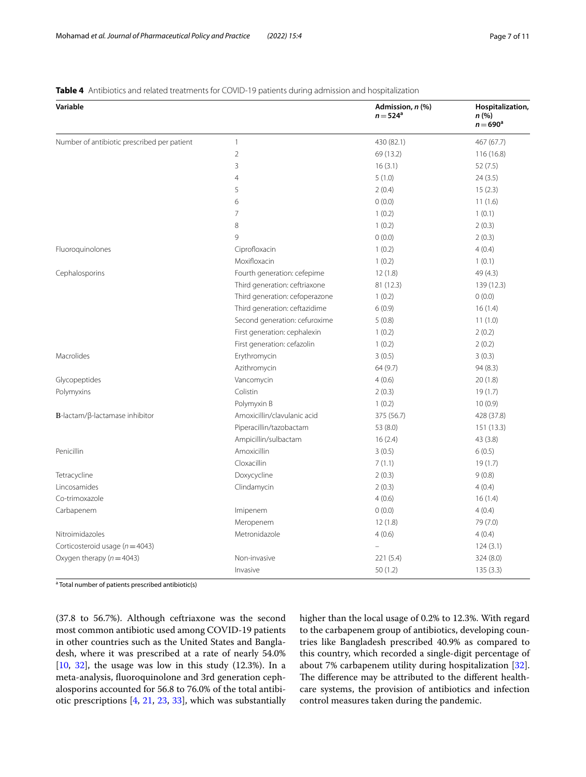| Variable                                    |                                | Admission, n (%)<br>$n = 524^{\circ}$ | Hospitalization,<br>n (%)<br>$n = 690$ <sup>a</sup> |
|---------------------------------------------|--------------------------------|---------------------------------------|-----------------------------------------------------|
| Number of antibiotic prescribed per patient | $\mathbf{1}$                   | 430 (82.1)                            | 467 (67.7)                                          |
|                                             | $\overline{2}$                 | 69 (13.2)                             | 116 (16.8)                                          |
|                                             | 3                              | 16(3.1)                               | 52(7.5)                                             |
|                                             | 4                              | 5(1.0)                                | 24(3.5)                                             |
|                                             | 5                              | 2(0.4)                                | 15(2.3)                                             |
|                                             | 6                              | 0(0.0)                                | 11(1.6)                                             |
|                                             | $\overline{7}$                 | 1(0.2)                                | 1(0.1)                                              |
|                                             | 8                              | 1(0.2)                                | 2(0.3)                                              |
|                                             | $\mathsf{Q}$                   | 0(0.0)                                | 2(0.3)                                              |
| Fluoroquinolones                            | Ciprofloxacin                  | 1(0.2)                                | 4(0.4)                                              |
|                                             | Moxifloxacin                   | 1(0.2)                                | 1(0.1)                                              |
| Cephalosporins                              | Fourth generation: cefepime    | 12(1.8)                               | 49 (4.3)                                            |
|                                             | Third generation: ceftriaxone  | 81 (12.3)                             | 139 (12.3)                                          |
|                                             | Third generation: cefoperazone | 1(0.2)                                | 0(0.0)                                              |
|                                             | Third generation: ceftazidime  | 6(0.9)                                | 16(1.4)                                             |
|                                             | Second generation: cefuroxime  | 5(0.8)                                | 11(1.0)                                             |
|                                             | First generation: cephalexin   | 1(0.2)                                | 2(0.2)                                              |
|                                             | First generation: cefazolin    | 1(0.2)                                | 2(0.2)                                              |
| Macrolides                                  | Erythromycin                   | 3(0.5)                                | 3(0.3)                                              |
|                                             | Azithromycin                   | 64 (9.7)                              | 94 (8.3)                                            |
| Glycopeptides                               | Vancomycin                     | 4(0.6)                                | 20(1.8)                                             |
| Polymyxins                                  | Colistin                       | 2(0.3)                                | 19(1.7)                                             |
|                                             | Polymyxin B                    | 1(0.2)                                | 10(0.9)                                             |
| $B$ -lactam/ $\beta$ -lactamase inhibitor   | Amoxicillin/clavulanic acid    | 375 (56.7)                            | 428 (37.8)                                          |
|                                             | Piperacillin/tazobactam        | 53 (8.0)                              | 151 (13.3)                                          |
|                                             | Ampicillin/sulbactam           | 16(2.4)                               | 43 (3.8)                                            |
| Penicillin                                  | Amoxicillin                    | 3(0.5)                                | 6(0.5)                                              |
|                                             | Cloxacillin                    | 7(1.1)                                | 19(1.7)                                             |
| Tetracycline                                | Doxycycline                    | 2(0.3)                                | 9(0.8)                                              |
| Lincosamides                                | Clindamycin                    | 2(0.3)                                | 4(0.4)                                              |
| Co-trimoxazole                              |                                | 4(0.6)                                | 16(1.4)                                             |
| Carbapenem                                  | Imipenem                       | 0(0.0)                                | 4(0.4)                                              |
|                                             | Meropenem                      | 12(1.8)                               | 79 (7.0)                                            |
| Nitroimidazoles                             | Metronidazole                  | 4(0.6)                                | 4(0.4)                                              |
| Corticosteroid usage ( $n = 4043$ )         |                                |                                       | 124(3.1)                                            |
| Oxygen therapy ( $n = 4043$ )               | Non-invasive                   | 221 (5.4)                             | 324 (8.0)                                           |
|                                             | Invasive                       | 50(1.2)                               | 135(3.3)                                            |

# <span id="page-6-0"></span>**Table 4** Antibiotics and related treatments for COVID-19 patients during admission and hospitalization

<sup>a</sup> Total number of patients prescribed antibiotic(s)

(37.8 to 56.7%). Although ceftriaxone was the second most common antibiotic used among COVID-19 patients in other countries such as the United States and Bangladesh, where it was prescribed at a rate of nearly 54.0% [[10,](#page-9-9) [32](#page-10-8)], the usage was low in this study (12.3%). In a meta-analysis, fuoroquinolone and 3rd generation cephalosporins accounted for 56.8 to 76.0% of the total antibiotic prescriptions [\[4,](#page-9-3) [21,](#page-9-20) [23,](#page-10-1) [33\]](#page-10-9), which was substantially higher than the local usage of 0.2% to 12.3%. With regard to the carbapenem group of antibiotics, developing countries like Bangladesh prescribed 40.9% as compared to this country, which recorded a single-digit percentage of about 7% carbapenem utility during hospitalization [\[32](#page-10-8)]. The difference may be attributed to the different healthcare systems, the provision of antibiotics and infection control measures taken during the pandemic.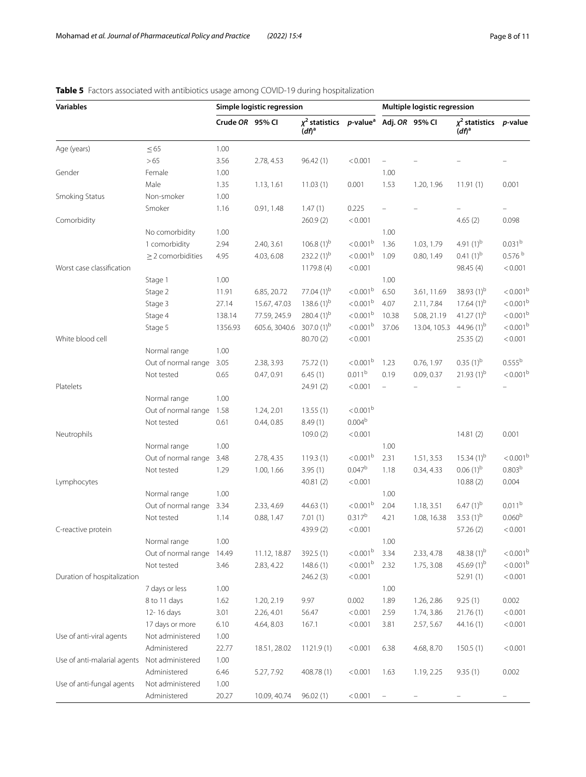| $\chi^2$ statistics p-value <sup>a</sup> Adj. OR 95% CI<br>Crude OR 95% CI<br>$\chi^2$ statistics p-value<br>$(df)^a$<br>(df) <sup>a</sup><br>$\leq 65$<br>1.00<br>Age (years)<br>>65<br>3.56<br>2.78, 4.53<br>< 0.001<br>96.42(1)<br>Gender<br>Female<br>1.00<br>1.00<br>Male<br>1.35<br>1.13, 1.61<br>11.03(1)<br>0.001<br>1.53<br>1.20, 1.96<br>11.91(1)<br>0.001<br>Non-smoker<br>1.00<br>Smoking Status<br>Smoker<br>0.91, 1.48<br>1.47(1)<br>0.225<br>1.16<br>< 0.001<br>Comorbidity<br>260.9(2)<br>4.65(2)<br>0.098<br>No comorbidity<br>1.00<br>1.00<br>$< 0.001^b$<br>0.031 <sup>b</sup><br>106.8 $(1)^{b}$<br>4.91 $(1)^{b}$<br>1 comorbidity<br>2.94<br>2.40, 3.61<br>1.36<br>1.03, 1.79<br>232.2 $(1)^{b}$<br>4.03, 6.08<br>< 0.001 <sup>b</sup><br>$0.41(1)^{b}$<br>$\geq$ 2 comorbidities<br>4.95<br>1.09<br>0.80, 1.49<br>< 0.001<br>Worst case classification<br>1179.8 (4)<br>98.45 (4)<br>1.00<br>Stage 1<br>1.00<br>$< 0.001^{\rm b}$<br>38.93 (1) <sup>b</sup><br>77.04 $(1)^{b}$<br>Stage 2<br>6.85, 20.72<br>6.50<br>3.61, 11.69<br>11.91<br>< 0.001 <sup>b</sup><br>$17.64(1)$ <sup>b</sup><br>138.6 $(1)^{b}$<br>Stage 3<br>15.67, 47.03<br>4.07<br>2.11, 7.84<br>27.14<br>41.27 $(1)^{b}$<br>280.4 $(1)^{b}$<br>< 0.001 <sup>b</sup><br>Stage 4<br>77.59, 245.9<br>10.38<br>5.08, 21.19<br>138.14<br>307.0 $(1)^{b}$<br>$< 0.001^{\rm b}$<br>13.04, 105.3 44.96 (1) <sup>b</sup><br>Stage 5<br>605.6, 3040.6<br>37.06<br>1356.93<br>< 0.001<br>White blood cell<br>80.70 (2)<br>25.35(2)<br>Normal range<br>1.00<br>$0.35(1)^{b}$<br>Out of normal range<br>2.38, 3.93<br>< 0.001 <sup>b</sup><br>1.23<br>0.76, 1.97<br>3.05<br>75.72 (1)<br>0.011 <sup>b</sup><br>$21.93(1)^{b}$<br>0.09, 0.37<br>Not tested<br>0.65<br>0.47, 0.91<br>6.45(1)<br>0.19<br>< 0.001<br>Platelets<br>24.91 (2)<br>Normal range<br>1.00<br>< 0.001 <sup>b</sup><br>Out of normal range<br>1.58<br>1.24, 2.01<br>13.55(1)<br>$0.004^{b}$<br>0.61<br>0.44, 0.85<br>8.49(1)<br>Not tested<br>< 0.001<br>109.0(2)<br>0.001<br>Neutrophils<br>14.81(2)<br>1.00<br>Normal range<br>1.00<br>$< 0.001^{\rm b}$<br>$15.34(1)$ <sup>b</sup><br>Out of normal range<br>2.78, 4.35<br>2.31<br>1.51, 3.53<br>3.48<br>119.3(1)<br>$0.047^{\rm b}$<br>$0.06(1)^{b}$<br>0.803 <sup>b</sup><br>3.95(1)<br>1.18<br>0.34, 4.33<br>Not tested<br>1.29<br>1.00, 1.66<br>< 0.001<br>10.88(2)<br>0.004<br>Lymphocytes<br>40.81(2)<br>Normal range<br>1.00<br>1.00<br>$< 0.001^{\rm b}$<br>0.011 <sup>b</sup><br>$6.47(1)^{b}$<br>Out of normal range<br>3.34<br>2.33, 4.69<br>44.63 (1)<br>2.04<br>1.18, 3.51<br>$0.317^{b}$<br>3.53 $(1)^{b}$<br>0.060 <sup>b</sup><br>Not tested<br>0.88, 1.47<br>4.21<br>1.08, 16.38<br>1.14<br>7.01(1)<br>< 0.001<br>439.9 (2)<br>57.26 (2)<br>C-reactive protein<br>1.00<br>1.00<br>Normal range<br>$< 0.001^{\rm b}$<br>48.38 $(1)^{b}$<br>Out of normal range<br>3.34<br>2.33, 4.78<br>14.49<br>11.12, 18.87<br>392.5 (1)<br>$< 0.001^{\rm b}$<br>45.69 $(1)^{b}$<br>Not tested<br>3.46<br>148.6(1)<br>2.32<br>1.75, 3.08<br>2.83, 4.22<br>Duration of hospitalization<br>246.2(3)<br>< 0.001<br>52.91 (1)<br>7 days or less<br>1.00<br>1.00 | <b>Variables</b> |              | Simple logistic regression |            |      |       | Multiple logistic regression |            |         |                      |
|-------------------------------------------------------------------------------------------------------------------------------------------------------------------------------------------------------------------------------------------------------------------------------------------------------------------------------------------------------------------------------------------------------------------------------------------------------------------------------------------------------------------------------------------------------------------------------------------------------------------------------------------------------------------------------------------------------------------------------------------------------------------------------------------------------------------------------------------------------------------------------------------------------------------------------------------------------------------------------------------------------------------------------------------------------------------------------------------------------------------------------------------------------------------------------------------------------------------------------------------------------------------------------------------------------------------------------------------------------------------------------------------------------------------------------------------------------------------------------------------------------------------------------------------------------------------------------------------------------------------------------------------------------------------------------------------------------------------------------------------------------------------------------------------------------------------------------------------------------------------------------------------------------------------------------------------------------------------------------------------------------------------------------------------------------------------------------------------------------------------------------------------------------------------------------------------------------------------------------------------------------------------------------------------------------------------------------------------------------------------------------------------------------------------------------------------------------------------------------------------------------------------------------------------------------------------------------------------------------------------------------------------------------------------------------------------------------------------------------------------------------------------------------------------------------------------------------------------------------------------------------------------------------------------------------------------------------------------------------------------------------------------------------------------------------------------------------------------------------------------------------------------------------------------|------------------|--------------|----------------------------|------------|------|-------|------------------------------|------------|---------|----------------------|
|                                                                                                                                                                                                                                                                                                                                                                                                                                                                                                                                                                                                                                                                                                                                                                                                                                                                                                                                                                                                                                                                                                                                                                                                                                                                                                                                                                                                                                                                                                                                                                                                                                                                                                                                                                                                                                                                                                                                                                                                                                                                                                                                                                                                                                                                                                                                                                                                                                                                                                                                                                                                                                                                                                                                                                                                                                                                                                                                                                                                                                                                                                                                                                   |                  |              |                            |            |      |       |                              |            |         |                      |
|                                                                                                                                                                                                                                                                                                                                                                                                                                                                                                                                                                                                                                                                                                                                                                                                                                                                                                                                                                                                                                                                                                                                                                                                                                                                                                                                                                                                                                                                                                                                                                                                                                                                                                                                                                                                                                                                                                                                                                                                                                                                                                                                                                                                                                                                                                                                                                                                                                                                                                                                                                                                                                                                                                                                                                                                                                                                                                                                                                                                                                                                                                                                                                   |                  |              |                            |            |      |       |                              |            |         |                      |
|                                                                                                                                                                                                                                                                                                                                                                                                                                                                                                                                                                                                                                                                                                                                                                                                                                                                                                                                                                                                                                                                                                                                                                                                                                                                                                                                                                                                                                                                                                                                                                                                                                                                                                                                                                                                                                                                                                                                                                                                                                                                                                                                                                                                                                                                                                                                                                                                                                                                                                                                                                                                                                                                                                                                                                                                                                                                                                                                                                                                                                                                                                                                                                   |                  |              |                            |            |      |       |                              |            |         |                      |
|                                                                                                                                                                                                                                                                                                                                                                                                                                                                                                                                                                                                                                                                                                                                                                                                                                                                                                                                                                                                                                                                                                                                                                                                                                                                                                                                                                                                                                                                                                                                                                                                                                                                                                                                                                                                                                                                                                                                                                                                                                                                                                                                                                                                                                                                                                                                                                                                                                                                                                                                                                                                                                                                                                                                                                                                                                                                                                                                                                                                                                                                                                                                                                   |                  |              |                            |            |      |       |                              |            |         |                      |
|                                                                                                                                                                                                                                                                                                                                                                                                                                                                                                                                                                                                                                                                                                                                                                                                                                                                                                                                                                                                                                                                                                                                                                                                                                                                                                                                                                                                                                                                                                                                                                                                                                                                                                                                                                                                                                                                                                                                                                                                                                                                                                                                                                                                                                                                                                                                                                                                                                                                                                                                                                                                                                                                                                                                                                                                                                                                                                                                                                                                                                                                                                                                                                   |                  |              |                            |            |      |       |                              |            |         |                      |
|                                                                                                                                                                                                                                                                                                                                                                                                                                                                                                                                                                                                                                                                                                                                                                                                                                                                                                                                                                                                                                                                                                                                                                                                                                                                                                                                                                                                                                                                                                                                                                                                                                                                                                                                                                                                                                                                                                                                                                                                                                                                                                                                                                                                                                                                                                                                                                                                                                                                                                                                                                                                                                                                                                                                                                                                                                                                                                                                                                                                                                                                                                                                                                   |                  |              |                            |            |      |       |                              |            |         |                      |
|                                                                                                                                                                                                                                                                                                                                                                                                                                                                                                                                                                                                                                                                                                                                                                                                                                                                                                                                                                                                                                                                                                                                                                                                                                                                                                                                                                                                                                                                                                                                                                                                                                                                                                                                                                                                                                                                                                                                                                                                                                                                                                                                                                                                                                                                                                                                                                                                                                                                                                                                                                                                                                                                                                                                                                                                                                                                                                                                                                                                                                                                                                                                                                   |                  |              |                            |            |      |       |                              |            |         |                      |
|                                                                                                                                                                                                                                                                                                                                                                                                                                                                                                                                                                                                                                                                                                                                                                                                                                                                                                                                                                                                                                                                                                                                                                                                                                                                                                                                                                                                                                                                                                                                                                                                                                                                                                                                                                                                                                                                                                                                                                                                                                                                                                                                                                                                                                                                                                                                                                                                                                                                                                                                                                                                                                                                                                                                                                                                                                                                                                                                                                                                                                                                                                                                                                   |                  |              |                            |            |      |       |                              |            |         |                      |
|                                                                                                                                                                                                                                                                                                                                                                                                                                                                                                                                                                                                                                                                                                                                                                                                                                                                                                                                                                                                                                                                                                                                                                                                                                                                                                                                                                                                                                                                                                                                                                                                                                                                                                                                                                                                                                                                                                                                                                                                                                                                                                                                                                                                                                                                                                                                                                                                                                                                                                                                                                                                                                                                                                                                                                                                                                                                                                                                                                                                                                                                                                                                                                   |                  |              |                            |            |      |       |                              |            |         |                      |
|                                                                                                                                                                                                                                                                                                                                                                                                                                                                                                                                                                                                                                                                                                                                                                                                                                                                                                                                                                                                                                                                                                                                                                                                                                                                                                                                                                                                                                                                                                                                                                                                                                                                                                                                                                                                                                                                                                                                                                                                                                                                                                                                                                                                                                                                                                                                                                                                                                                                                                                                                                                                                                                                                                                                                                                                                                                                                                                                                                                                                                                                                                                                                                   |                  |              |                            |            |      |       |                              |            |         |                      |
|                                                                                                                                                                                                                                                                                                                                                                                                                                                                                                                                                                                                                                                                                                                                                                                                                                                                                                                                                                                                                                                                                                                                                                                                                                                                                                                                                                                                                                                                                                                                                                                                                                                                                                                                                                                                                                                                                                                                                                                                                                                                                                                                                                                                                                                                                                                                                                                                                                                                                                                                                                                                                                                                                                                                                                                                                                                                                                                                                                                                                                                                                                                                                                   |                  |              |                            |            |      |       |                              |            |         | 0.576 <sup>b</sup>   |
|                                                                                                                                                                                                                                                                                                                                                                                                                                                                                                                                                                                                                                                                                                                                                                                                                                                                                                                                                                                                                                                                                                                                                                                                                                                                                                                                                                                                                                                                                                                                                                                                                                                                                                                                                                                                                                                                                                                                                                                                                                                                                                                                                                                                                                                                                                                                                                                                                                                                                                                                                                                                                                                                                                                                                                                                                                                                                                                                                                                                                                                                                                                                                                   |                  |              |                            |            |      |       |                              |            |         | < 0.001              |
|                                                                                                                                                                                                                                                                                                                                                                                                                                                                                                                                                                                                                                                                                                                                                                                                                                                                                                                                                                                                                                                                                                                                                                                                                                                                                                                                                                                                                                                                                                                                                                                                                                                                                                                                                                                                                                                                                                                                                                                                                                                                                                                                                                                                                                                                                                                                                                                                                                                                                                                                                                                                                                                                                                                                                                                                                                                                                                                                                                                                                                                                                                                                                                   |                  |              |                            |            |      |       |                              |            |         |                      |
|                                                                                                                                                                                                                                                                                                                                                                                                                                                                                                                                                                                                                                                                                                                                                                                                                                                                                                                                                                                                                                                                                                                                                                                                                                                                                                                                                                                                                                                                                                                                                                                                                                                                                                                                                                                                                                                                                                                                                                                                                                                                                                                                                                                                                                                                                                                                                                                                                                                                                                                                                                                                                                                                                                                                                                                                                                                                                                                                                                                                                                                                                                                                                                   |                  |              |                            |            |      |       |                              |            |         | $< 0.001^{\rm b}$    |
|                                                                                                                                                                                                                                                                                                                                                                                                                                                                                                                                                                                                                                                                                                                                                                                                                                                                                                                                                                                                                                                                                                                                                                                                                                                                                                                                                                                                                                                                                                                                                                                                                                                                                                                                                                                                                                                                                                                                                                                                                                                                                                                                                                                                                                                                                                                                                                                                                                                                                                                                                                                                                                                                                                                                                                                                                                                                                                                                                                                                                                                                                                                                                                   |                  |              |                            |            |      |       |                              |            |         | < 0.001 <sup>b</sup> |
|                                                                                                                                                                                                                                                                                                                                                                                                                                                                                                                                                                                                                                                                                                                                                                                                                                                                                                                                                                                                                                                                                                                                                                                                                                                                                                                                                                                                                                                                                                                                                                                                                                                                                                                                                                                                                                                                                                                                                                                                                                                                                                                                                                                                                                                                                                                                                                                                                                                                                                                                                                                                                                                                                                                                                                                                                                                                                                                                                                                                                                                                                                                                                                   |                  |              |                            |            |      |       |                              |            |         | $< 0.001^{\rm b}$    |
|                                                                                                                                                                                                                                                                                                                                                                                                                                                                                                                                                                                                                                                                                                                                                                                                                                                                                                                                                                                                                                                                                                                                                                                                                                                                                                                                                                                                                                                                                                                                                                                                                                                                                                                                                                                                                                                                                                                                                                                                                                                                                                                                                                                                                                                                                                                                                                                                                                                                                                                                                                                                                                                                                                                                                                                                                                                                                                                                                                                                                                                                                                                                                                   |                  |              |                            |            |      |       |                              |            |         | $< 0.001^{\rm b}$    |
|                                                                                                                                                                                                                                                                                                                                                                                                                                                                                                                                                                                                                                                                                                                                                                                                                                                                                                                                                                                                                                                                                                                                                                                                                                                                                                                                                                                                                                                                                                                                                                                                                                                                                                                                                                                                                                                                                                                                                                                                                                                                                                                                                                                                                                                                                                                                                                                                                                                                                                                                                                                                                                                                                                                                                                                                                                                                                                                                                                                                                                                                                                                                                                   |                  |              |                            |            |      |       |                              |            |         | < 0.001              |
|                                                                                                                                                                                                                                                                                                                                                                                                                                                                                                                                                                                                                                                                                                                                                                                                                                                                                                                                                                                                                                                                                                                                                                                                                                                                                                                                                                                                                                                                                                                                                                                                                                                                                                                                                                                                                                                                                                                                                                                                                                                                                                                                                                                                                                                                                                                                                                                                                                                                                                                                                                                                                                                                                                                                                                                                                                                                                                                                                                                                                                                                                                                                                                   |                  |              |                            |            |      |       |                              |            |         |                      |
|                                                                                                                                                                                                                                                                                                                                                                                                                                                                                                                                                                                                                                                                                                                                                                                                                                                                                                                                                                                                                                                                                                                                                                                                                                                                                                                                                                                                                                                                                                                                                                                                                                                                                                                                                                                                                                                                                                                                                                                                                                                                                                                                                                                                                                                                                                                                                                                                                                                                                                                                                                                                                                                                                                                                                                                                                                                                                                                                                                                                                                                                                                                                                                   |                  |              |                            |            |      |       |                              |            |         | 0.555 <sup>b</sup>   |
|                                                                                                                                                                                                                                                                                                                                                                                                                                                                                                                                                                                                                                                                                                                                                                                                                                                                                                                                                                                                                                                                                                                                                                                                                                                                                                                                                                                                                                                                                                                                                                                                                                                                                                                                                                                                                                                                                                                                                                                                                                                                                                                                                                                                                                                                                                                                                                                                                                                                                                                                                                                                                                                                                                                                                                                                                                                                                                                                                                                                                                                                                                                                                                   |                  |              |                            |            |      |       |                              |            |         | $< 0.001^{\rm b}$    |
|                                                                                                                                                                                                                                                                                                                                                                                                                                                                                                                                                                                                                                                                                                                                                                                                                                                                                                                                                                                                                                                                                                                                                                                                                                                                                                                                                                                                                                                                                                                                                                                                                                                                                                                                                                                                                                                                                                                                                                                                                                                                                                                                                                                                                                                                                                                                                                                                                                                                                                                                                                                                                                                                                                                                                                                                                                                                                                                                                                                                                                                                                                                                                                   |                  |              |                            |            |      |       |                              |            |         |                      |
|                                                                                                                                                                                                                                                                                                                                                                                                                                                                                                                                                                                                                                                                                                                                                                                                                                                                                                                                                                                                                                                                                                                                                                                                                                                                                                                                                                                                                                                                                                                                                                                                                                                                                                                                                                                                                                                                                                                                                                                                                                                                                                                                                                                                                                                                                                                                                                                                                                                                                                                                                                                                                                                                                                                                                                                                                                                                                                                                                                                                                                                                                                                                                                   |                  |              |                            |            |      |       |                              |            |         |                      |
|                                                                                                                                                                                                                                                                                                                                                                                                                                                                                                                                                                                                                                                                                                                                                                                                                                                                                                                                                                                                                                                                                                                                                                                                                                                                                                                                                                                                                                                                                                                                                                                                                                                                                                                                                                                                                                                                                                                                                                                                                                                                                                                                                                                                                                                                                                                                                                                                                                                                                                                                                                                                                                                                                                                                                                                                                                                                                                                                                                                                                                                                                                                                                                   |                  |              |                            |            |      |       |                              |            |         |                      |
|                                                                                                                                                                                                                                                                                                                                                                                                                                                                                                                                                                                                                                                                                                                                                                                                                                                                                                                                                                                                                                                                                                                                                                                                                                                                                                                                                                                                                                                                                                                                                                                                                                                                                                                                                                                                                                                                                                                                                                                                                                                                                                                                                                                                                                                                                                                                                                                                                                                                                                                                                                                                                                                                                                                                                                                                                                                                                                                                                                                                                                                                                                                                                                   |                  |              |                            |            |      |       |                              |            |         |                      |
|                                                                                                                                                                                                                                                                                                                                                                                                                                                                                                                                                                                                                                                                                                                                                                                                                                                                                                                                                                                                                                                                                                                                                                                                                                                                                                                                                                                                                                                                                                                                                                                                                                                                                                                                                                                                                                                                                                                                                                                                                                                                                                                                                                                                                                                                                                                                                                                                                                                                                                                                                                                                                                                                                                                                                                                                                                                                                                                                                                                                                                                                                                                                                                   |                  |              |                            |            |      |       |                              |            |         |                      |
|                                                                                                                                                                                                                                                                                                                                                                                                                                                                                                                                                                                                                                                                                                                                                                                                                                                                                                                                                                                                                                                                                                                                                                                                                                                                                                                                                                                                                                                                                                                                                                                                                                                                                                                                                                                                                                                                                                                                                                                                                                                                                                                                                                                                                                                                                                                                                                                                                                                                                                                                                                                                                                                                                                                                                                                                                                                                                                                                                                                                                                                                                                                                                                   |                  |              |                            |            |      |       |                              |            |         |                      |
|                                                                                                                                                                                                                                                                                                                                                                                                                                                                                                                                                                                                                                                                                                                                                                                                                                                                                                                                                                                                                                                                                                                                                                                                                                                                                                                                                                                                                                                                                                                                                                                                                                                                                                                                                                                                                                                                                                                                                                                                                                                                                                                                                                                                                                                                                                                                                                                                                                                                                                                                                                                                                                                                                                                                                                                                                                                                                                                                                                                                                                                                                                                                                                   |                  |              |                            |            |      |       |                              |            |         | $< 0.001^{\rm b}$    |
|                                                                                                                                                                                                                                                                                                                                                                                                                                                                                                                                                                                                                                                                                                                                                                                                                                                                                                                                                                                                                                                                                                                                                                                                                                                                                                                                                                                                                                                                                                                                                                                                                                                                                                                                                                                                                                                                                                                                                                                                                                                                                                                                                                                                                                                                                                                                                                                                                                                                                                                                                                                                                                                                                                                                                                                                                                                                                                                                                                                                                                                                                                                                                                   |                  |              |                            |            |      |       |                              |            |         |                      |
|                                                                                                                                                                                                                                                                                                                                                                                                                                                                                                                                                                                                                                                                                                                                                                                                                                                                                                                                                                                                                                                                                                                                                                                                                                                                                                                                                                                                                                                                                                                                                                                                                                                                                                                                                                                                                                                                                                                                                                                                                                                                                                                                                                                                                                                                                                                                                                                                                                                                                                                                                                                                                                                                                                                                                                                                                                                                                                                                                                                                                                                                                                                                                                   |                  |              |                            |            |      |       |                              |            |         |                      |
|                                                                                                                                                                                                                                                                                                                                                                                                                                                                                                                                                                                                                                                                                                                                                                                                                                                                                                                                                                                                                                                                                                                                                                                                                                                                                                                                                                                                                                                                                                                                                                                                                                                                                                                                                                                                                                                                                                                                                                                                                                                                                                                                                                                                                                                                                                                                                                                                                                                                                                                                                                                                                                                                                                                                                                                                                                                                                                                                                                                                                                                                                                                                                                   |                  |              |                            |            |      |       |                              |            |         |                      |
|                                                                                                                                                                                                                                                                                                                                                                                                                                                                                                                                                                                                                                                                                                                                                                                                                                                                                                                                                                                                                                                                                                                                                                                                                                                                                                                                                                                                                                                                                                                                                                                                                                                                                                                                                                                                                                                                                                                                                                                                                                                                                                                                                                                                                                                                                                                                                                                                                                                                                                                                                                                                                                                                                                                                                                                                                                                                                                                                                                                                                                                                                                                                                                   |                  |              |                            |            |      |       |                              |            |         |                      |
|                                                                                                                                                                                                                                                                                                                                                                                                                                                                                                                                                                                                                                                                                                                                                                                                                                                                                                                                                                                                                                                                                                                                                                                                                                                                                                                                                                                                                                                                                                                                                                                                                                                                                                                                                                                                                                                                                                                                                                                                                                                                                                                                                                                                                                                                                                                                                                                                                                                                                                                                                                                                                                                                                                                                                                                                                                                                                                                                                                                                                                                                                                                                                                   |                  |              |                            |            |      |       |                              |            |         |                      |
|                                                                                                                                                                                                                                                                                                                                                                                                                                                                                                                                                                                                                                                                                                                                                                                                                                                                                                                                                                                                                                                                                                                                                                                                                                                                                                                                                                                                                                                                                                                                                                                                                                                                                                                                                                                                                                                                                                                                                                                                                                                                                                                                                                                                                                                                                                                                                                                                                                                                                                                                                                                                                                                                                                                                                                                                                                                                                                                                                                                                                                                                                                                                                                   |                  |              |                            |            |      |       |                              |            |         | < 0.001              |
|                                                                                                                                                                                                                                                                                                                                                                                                                                                                                                                                                                                                                                                                                                                                                                                                                                                                                                                                                                                                                                                                                                                                                                                                                                                                                                                                                                                                                                                                                                                                                                                                                                                                                                                                                                                                                                                                                                                                                                                                                                                                                                                                                                                                                                                                                                                                                                                                                                                                                                                                                                                                                                                                                                                                                                                                                                                                                                                                                                                                                                                                                                                                                                   |                  |              |                            |            |      |       |                              |            |         |                      |
|                                                                                                                                                                                                                                                                                                                                                                                                                                                                                                                                                                                                                                                                                                                                                                                                                                                                                                                                                                                                                                                                                                                                                                                                                                                                                                                                                                                                                                                                                                                                                                                                                                                                                                                                                                                                                                                                                                                                                                                                                                                                                                                                                                                                                                                                                                                                                                                                                                                                                                                                                                                                                                                                                                                                                                                                                                                                                                                                                                                                                                                                                                                                                                   |                  |              |                            |            |      |       |                              |            |         | $< 0.001^{\rm b}$    |
|                                                                                                                                                                                                                                                                                                                                                                                                                                                                                                                                                                                                                                                                                                                                                                                                                                                                                                                                                                                                                                                                                                                                                                                                                                                                                                                                                                                                                                                                                                                                                                                                                                                                                                                                                                                                                                                                                                                                                                                                                                                                                                                                                                                                                                                                                                                                                                                                                                                                                                                                                                                                                                                                                                                                                                                                                                                                                                                                                                                                                                                                                                                                                                   |                  |              |                            |            |      |       |                              |            |         | $< 0.001^{\rm b}$    |
|                                                                                                                                                                                                                                                                                                                                                                                                                                                                                                                                                                                                                                                                                                                                                                                                                                                                                                                                                                                                                                                                                                                                                                                                                                                                                                                                                                                                                                                                                                                                                                                                                                                                                                                                                                                                                                                                                                                                                                                                                                                                                                                                                                                                                                                                                                                                                                                                                                                                                                                                                                                                                                                                                                                                                                                                                                                                                                                                                                                                                                                                                                                                                                   |                  |              |                            |            |      |       |                              |            |         | < 0.001              |
|                                                                                                                                                                                                                                                                                                                                                                                                                                                                                                                                                                                                                                                                                                                                                                                                                                                                                                                                                                                                                                                                                                                                                                                                                                                                                                                                                                                                                                                                                                                                                                                                                                                                                                                                                                                                                                                                                                                                                                                                                                                                                                                                                                                                                                                                                                                                                                                                                                                                                                                                                                                                                                                                                                                                                                                                                                                                                                                                                                                                                                                                                                                                                                   |                  |              |                            |            |      |       |                              |            |         |                      |
|                                                                                                                                                                                                                                                                                                                                                                                                                                                                                                                                                                                                                                                                                                                                                                                                                                                                                                                                                                                                                                                                                                                                                                                                                                                                                                                                                                                                                                                                                                                                                                                                                                                                                                                                                                                                                                                                                                                                                                                                                                                                                                                                                                                                                                                                                                                                                                                                                                                                                                                                                                                                                                                                                                                                                                                                                                                                                                                                                                                                                                                                                                                                                                   |                  | 8 to 11 days | 1.62                       | 1.20, 2.19 | 9.97 | 0.002 | 1.89                         | 1.26, 2.86 | 9.25(1) | 0.002                |
| 12-16 days<br>3.01<br>2.26, 4.01<br>56.47<br>< 0.001<br>2.59<br>1.74, 3.86<br>21.76(1)                                                                                                                                                                                                                                                                                                                                                                                                                                                                                                                                                                                                                                                                                                                                                                                                                                                                                                                                                                                                                                                                                                                                                                                                                                                                                                                                                                                                                                                                                                                                                                                                                                                                                                                                                                                                                                                                                                                                                                                                                                                                                                                                                                                                                                                                                                                                                                                                                                                                                                                                                                                                                                                                                                                                                                                                                                                                                                                                                                                                                                                                            |                  |              |                            |            |      |       |                              |            |         | < 0.001              |
| 167.1<br>< 0.001<br>17 days or more<br>6.10<br>4.64, 8.03<br>3.81<br>2.57, 5.67<br>44.16 (1)                                                                                                                                                                                                                                                                                                                                                                                                                                                                                                                                                                                                                                                                                                                                                                                                                                                                                                                                                                                                                                                                                                                                                                                                                                                                                                                                                                                                                                                                                                                                                                                                                                                                                                                                                                                                                                                                                                                                                                                                                                                                                                                                                                                                                                                                                                                                                                                                                                                                                                                                                                                                                                                                                                                                                                                                                                                                                                                                                                                                                                                                      |                  |              |                            |            |      |       |                              |            |         | < 0.001              |
| Use of anti-viral agents<br>Not administered<br>1.00                                                                                                                                                                                                                                                                                                                                                                                                                                                                                                                                                                                                                                                                                                                                                                                                                                                                                                                                                                                                                                                                                                                                                                                                                                                                                                                                                                                                                                                                                                                                                                                                                                                                                                                                                                                                                                                                                                                                                                                                                                                                                                                                                                                                                                                                                                                                                                                                                                                                                                                                                                                                                                                                                                                                                                                                                                                                                                                                                                                                                                                                                                              |                  |              |                            |            |      |       |                              |            |         |                      |
| Administered<br>22.77<br>< 0.001<br>4.68, 8.70<br>18.51, 28.02<br>1121.9(1)<br>6.38<br>150.5(1)                                                                                                                                                                                                                                                                                                                                                                                                                                                                                                                                                                                                                                                                                                                                                                                                                                                                                                                                                                                                                                                                                                                                                                                                                                                                                                                                                                                                                                                                                                                                                                                                                                                                                                                                                                                                                                                                                                                                                                                                                                                                                                                                                                                                                                                                                                                                                                                                                                                                                                                                                                                                                                                                                                                                                                                                                                                                                                                                                                                                                                                                   |                  |              |                            |            |      |       |                              |            |         | < 0.001              |
| Use of anti-malarial agents<br>Not administered<br>1.00                                                                                                                                                                                                                                                                                                                                                                                                                                                                                                                                                                                                                                                                                                                                                                                                                                                                                                                                                                                                                                                                                                                                                                                                                                                                                                                                                                                                                                                                                                                                                                                                                                                                                                                                                                                                                                                                                                                                                                                                                                                                                                                                                                                                                                                                                                                                                                                                                                                                                                                                                                                                                                                                                                                                                                                                                                                                                                                                                                                                                                                                                                           |                  |              |                            |            |      |       |                              |            |         |                      |
| Administered<br>< 0.001<br>0.002<br>6.46<br>5.27, 7.92<br>408.78 (1)<br>1.63<br>1.19, 2.25<br>9.35(1)                                                                                                                                                                                                                                                                                                                                                                                                                                                                                                                                                                                                                                                                                                                                                                                                                                                                                                                                                                                                                                                                                                                                                                                                                                                                                                                                                                                                                                                                                                                                                                                                                                                                                                                                                                                                                                                                                                                                                                                                                                                                                                                                                                                                                                                                                                                                                                                                                                                                                                                                                                                                                                                                                                                                                                                                                                                                                                                                                                                                                                                             |                  |              |                            |            |      |       |                              |            |         |                      |
| Use of anti-fungal agents<br>Not administered<br>1.00                                                                                                                                                                                                                                                                                                                                                                                                                                                                                                                                                                                                                                                                                                                                                                                                                                                                                                                                                                                                                                                                                                                                                                                                                                                                                                                                                                                                                                                                                                                                                                                                                                                                                                                                                                                                                                                                                                                                                                                                                                                                                                                                                                                                                                                                                                                                                                                                                                                                                                                                                                                                                                                                                                                                                                                                                                                                                                                                                                                                                                                                                                             |                  |              |                            |            |      |       |                              |            |         |                      |
| Administered<br>20.27<br>10.09, 40.74<br>96.02(1)<br>< 0.001<br>$\overline{\phantom{a}}$                                                                                                                                                                                                                                                                                                                                                                                                                                                                                                                                                                                                                                                                                                                                                                                                                                                                                                                                                                                                                                                                                                                                                                                                                                                                                                                                                                                                                                                                                                                                                                                                                                                                                                                                                                                                                                                                                                                                                                                                                                                                                                                                                                                                                                                                                                                                                                                                                                                                                                                                                                                                                                                                                                                                                                                                                                                                                                                                                                                                                                                                          |                  |              |                            |            |      |       |                              |            |         |                      |

# <span id="page-7-0"></span>**Table 5** Factors associated with antibiotics usage among COVID-19 during hospitalization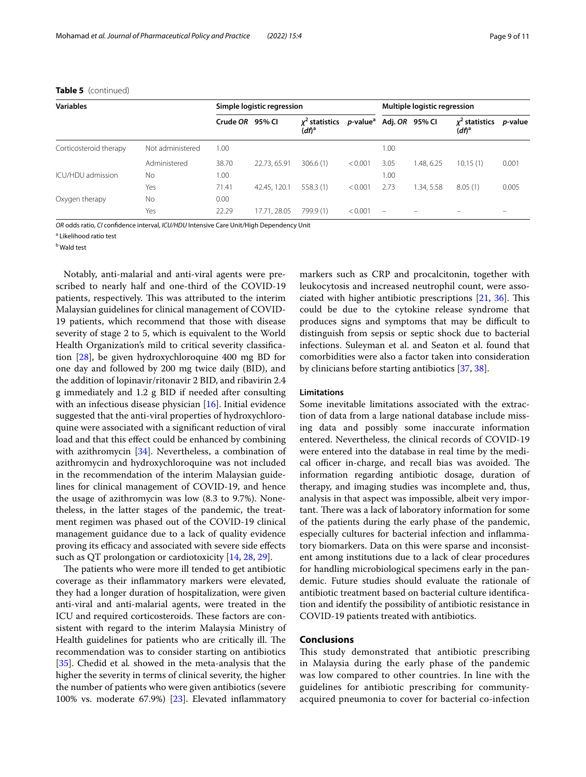| <b>Variables</b>       |                  | Simple logistic regression |              |                              |                                     | Multiple logistic regression |            |                           |                 |
|------------------------|------------------|----------------------------|--------------|------------------------------|-------------------------------------|------------------------------|------------|---------------------------|-----------------|
|                        |                  | Crude OR 95% CI            |              | $x^2$ statistics<br>$(df)^a$ | p-value <sup>a</sup> Adj. OR 95% Cl |                              |            | $x^2$ statistics<br>(df)ª | <i>p</i> -value |
| Corticosteroid therapy | Not administered | 1.00                       |              |                              |                                     | 1.00                         |            |                           |                 |
|                        | Administered     | 38.70                      | 22.73, 65.91 | 306.6(1)                     | < 0.001                             | 3.05                         | 1.48.6.25  | 10.15(1)                  | 0.001           |
| ICU/HDU admission      | No               | 1.00                       |              |                              |                                     | 1.00                         |            |                           |                 |
|                        | Yes              | 71.41                      | 42.45, 120.1 | 558.3(1)                     | < 0.001                             | 2.73                         | 1.34, 5.58 | 8.05(1)                   | 0.005           |
| Oxygen therapy         | No               | 0.00                       |              |                              |                                     |                              |            |                           |                 |
|                        | Yes              | 22.29                      | 17.71, 28.05 | 799.9 (1)                    | < 0.001                             |                              |            |                           |                 |

## **Table 5** (continued)

*OR* odds ratio, *CI* confdence interval, *ICU/HDU* Intensive Care Unit/High Dependency Unit

<sup>a</sup> Likelihood ratio test

<sup>b</sup> Wald test

Notably, anti-malarial and anti-viral agents were prescribed to nearly half and one-third of the COVID-19 patients, respectively. This was attributed to the interim Malaysian guidelines for clinical management of COVID-19 patients, which recommend that those with disease severity of stage 2 to 5, which is equivalent to the World Health Organization's mild to critical severity classifcation [\[28](#page-10-4)], be given hydroxychloroquine 400 mg BD for one day and followed by 200 mg twice daily (BID), and the addition of lopinavir/ritonavir 2 BID, and ribavirin 2.4 g immediately and 1.2 g BID if needed after consulting with an infectious disease physician [[16](#page-9-15)]. Initial evidence suggested that the anti-viral properties of hydroxychloroquine were associated with a signifcant reduction of viral load and that this efect could be enhanced by combining with azithromycin [\[34](#page-10-10)]. Nevertheless, a combination of azithromycin and hydroxychloroquine was not included in the recommendation of the interim Malaysian guidelines for clinical management of COVID-19, and hence the usage of azithromycin was low (8.3 to 9.7%). Nonetheless, in the latter stages of the pandemic, the treatment regimen was phased out of the COVID-19 clinical management guidance due to a lack of quality evidence proving its efficacy and associated with severe side effects such as QT prolongation or cardiotoxicity [\[14,](#page-9-13) [28](#page-10-4), [29\]](#page-10-5).

The patients who were more ill tended to get antibiotic coverage as their infammatory markers were elevated, they had a longer duration of hospitalization, were given anti-viral and anti-malarial agents, were treated in the ICU and required corticosteroids. These factors are consistent with regard to the interim Malaysia Ministry of Health guidelines for patients who are critically ill. The recommendation was to consider starting on antibiotics [[35\]](#page-10-11). Chedid et al*.* showed in the meta-analysis that the higher the severity in terms of clinical severity, the higher the number of patients who were given antibiotics (severe 100% vs. moderate 67.9%) [[23\]](#page-10-1). Elevated infammatory markers such as CRP and procalcitonin, together with leukocytosis and increased neutrophil count, were associated with higher antibiotic prescriptions  $[21, 36]$  $[21, 36]$  $[21, 36]$  $[21, 36]$ . This could be due to the cytokine release syndrome that produces signs and symptoms that may be difficult to distinguish from sepsis or septic shock due to bacterial infections. Suleyman et al. and Seaton et al. found that comorbidities were also a factor taken into consideration by clinicians before starting antibiotics [[37,](#page-10-13) [38](#page-10-14)].

## **Limitations**

Some inevitable limitations associated with the extraction of data from a large national database include missing data and possibly some inaccurate information entered. Nevertheless, the clinical records of COVID-19 were entered into the database in real time by the medical officer in-charge, and recall bias was avoided. The information regarding antibiotic dosage, duration of therapy, and imaging studies was incomplete and, thus, analysis in that aspect was impossible, albeit very important. There was a lack of laboratory information for some of the patients during the early phase of the pandemic, especially cultures for bacterial infection and infammatory biomarkers. Data on this were sparse and inconsistent among institutions due to a lack of clear procedures for handling microbiological specimens early in the pandemic. Future studies should evaluate the rationale of antibiotic treatment based on bacterial culture identifcation and identify the possibility of antibiotic resistance in COVID-19 patients treated with antibiotics.

## **Conclusions**

This study demonstrated that antibiotic prescribing in Malaysia during the early phase of the pandemic was low compared to other countries. In line with the guidelines for antibiotic prescribing for communityacquired pneumonia to cover for bacterial co-infection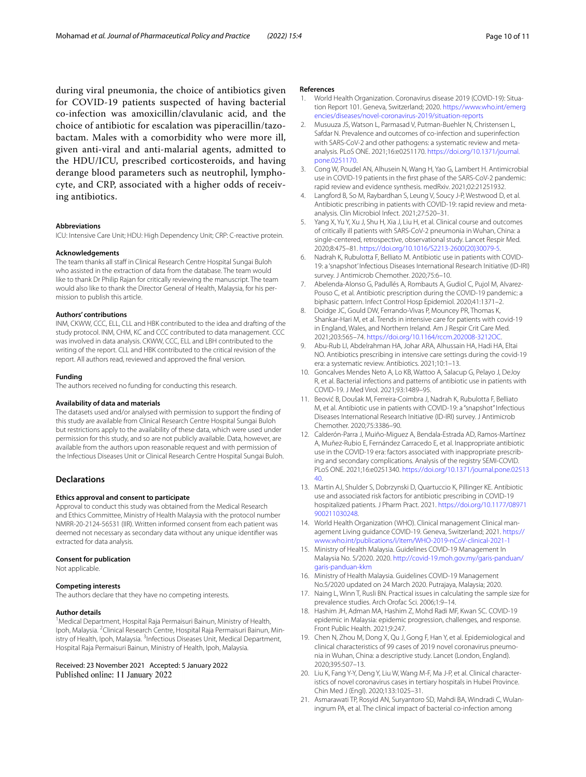during viral pneumonia, the choice of antibiotics given for COVID-19 patients suspected of having bacterial co-infection was amoxicillin/clavulanic acid, and the choice of antibiotic for escalation was piperacillin/tazobactam. Males with a comorbidity who were more ill, given anti-viral and anti-malarial agents, admitted to the HDU/ICU, prescribed corticosteroids, and having derange blood parameters such as neutrophil, lymphocyte, and CRP, associated with a higher odds of receiving antibiotics.

#### **Abbreviations**

ICU: Intensive Care Unit; HDU: High Dependency Unit; CRP: C-reactive protein.

#### **Acknowledgements**

The team thanks all staff in Clinical Research Centre Hospital Sungai Buloh who assisted in the extraction of data from the database. The team would like to thank Dr Philip Rajan for critically reviewing the manuscript. The team would also like to thank the Director General of Health, Malaysia, for his permission to publish this article.

#### **Authors' contributions**

INM, CKWW, CCC, ELL, CLL and HBK contributed to the idea and drafting of the study protocol. INM, CHM, KC and CCC contributed to data management. CCC was involved in data analysis. CKWW, CCC, ELL and LBH contributed to the writing of the report. CLL and HBK contributed to the critical revision of the report. All authors read, reviewed and approved the fnal version.

#### **Funding**

The authors received no funding for conducting this research.

#### **Availability of data and materials**

The datasets used and/or analysed with permission to support the fnding of this study are available from Clinical Research Centre Hospital Sungai Buloh but restrictions apply to the availability of these data, which were used under permission for this study, and so are not publicly available. Data, however, are available from the authors upon reasonable request and with permission of the Infectious Diseases Unit or Clinical Research Centre Hospital Sungai Buloh.

## **Declarations**

#### **Ethics approval and consent to participate**

Approval to conduct this study was obtained from the Medical Research and Ethics Committee, Ministry of Health Malaysia with the protocol number NMRR-20-2124-56531 (IIR). Written informed consent from each patient was deemed not necessary as secondary data without any unique identifer was extracted for data analysis.

#### **Consent for publication**

Not applicable.

#### **Competing interests**

The authors declare that they have no competing interests.

#### **Author details**

<sup>1</sup> Medical Department, Hospital Raja Permaisuri Bainun, Ministry of Health, Ipoh, Malaysia. <sup>2</sup>Clinical Research Centre, Hospital Raja Permaisuri Bainun, Ministry of Health, Ipoh, Malaysia. <sup>3</sup>Infectious Diseases Unit, Medical Department, Hospital Raja Permaisuri Bainun, Ministry of Health, Ipoh, Malaysia.

Received: 23 November 2021 Accepted: 5 January 2022 Published online: 11 January 2022

#### **References**

- <span id="page-9-0"></span>1. World Health Organization. Coronavirus disease 2019 (COVID-19): Situation Report 101. Geneva, Switzerland; 2020. [https://www.who.int/emerg](https://www.who.int/emergencies/diseases/novel-coronavirus-2019/situation-reports) [encies/diseases/novel-coronavirus-2019/situation-reports](https://www.who.int/emergencies/diseases/novel-coronavirus-2019/situation-reports)
- <span id="page-9-1"></span>2. Musuuza JS, Watson L, Parmasad V, Putman-Buehler N, Christensen L, Safdar N. Prevalence and outcomes of co-infection and superinfection with SARS-CoV-2 and other pathogens: a systematic review and metaanalysis. PLoS ONE. 2021;16:e0251170. [https://doi.org/10.1371/journal.](https://doi.org/10.1371/journal.pone.0251170) [pone.0251170](https://doi.org/10.1371/journal.pone.0251170).
- <span id="page-9-2"></span>3. Cong W, Poudel AN, Alhusein N, Wang H, Yao G, Lambert H. Antimicrobial use in COVID-19 patients in the frst phase of the SARS-CoV-2 pandemic: rapid review and evidence synthesis. medRxiv. 2021;02:21251932.
- <span id="page-9-3"></span>4. Langford B, So M, Raybardhan S, Leung V, Soucy J-P, Westwood D, et al. Antibiotic prescribing in patients with COVID-19: rapid review and metaanalysis. Clin Microbiol Infect. 2021;27:520–31.
- <span id="page-9-4"></span>5. Yang X, Yu Y, Xu J, Shu H, Xia J, Liu H, et al. Clinical course and outcomes of critically ill patients with SARS-CoV-2 pneumonia in Wuhan, China: a single-centered, retrospective, observational study. Lancet Respir Med. 2020;8:475–81. [https://doi.org/10.1016/S2213-2600\(20\)30079-5.](https://doi.org/10.1016/S2213-2600(20)30079-5)
- <span id="page-9-5"></span>6. Nadrah K, Rubulotta F, Belliato M. Antibiotic use in patients with COVID-19: a 'snapshot' Infectious Diseases International Research Initiative (ID-IRI) survey. J Antimicrob Chemother. 2020;75:6–10.
- <span id="page-9-6"></span>7. Abelenda-Alonso G, Padullés A, Rombauts A, Gudiol C, Pujol M, Alvarez-Pouso C, et al. Antibiotic prescription during the COVID-19 pandemic: a biphasic pattern. Infect Control Hosp Epidemiol. 2020;41:1371–2.
- <span id="page-9-7"></span>Doidge JC, Gould DW, Ferrando-Vivas P, Mouncey PR, Thomas K, Shankar-Hari M, et al. Trends in intensive care for patients with covid-19 in England, Wales, and Northern Ireland. Am J Respir Crit Care Med. 2021;203:565–74. <https://doi.org/10.1164/rccm.202008-3212OC>.
- <span id="page-9-8"></span>9. Abu-Rub LI, Abdelrahman HA, Johar ARA, Alhussain HA, Hadi HA, Eltai NO. Antibiotics prescribing in intensive care settings during the covid-19 era: a systematic review. Antibiotics. 2021;10:1–13.
- <span id="page-9-9"></span>10. Goncalves Mendes Neto A, Lo KB, Wattoo A, Salacup G, Pelayo J, DeJoy R, et al. Bacterial infections and patterns of antibiotic use in patients with COVID-19. J Med Virol. 2021;93:1489–95.
- <span id="page-9-10"></span>11. Beović B, Doušak M, Ferreira-Coimbra J, Nadrah K, Rubulotta F, Belliato M, et al. Antibiotic use in patients with COVID-19: a "snapshot" Infectious Diseases International Research Initiative (ID-IRI) survey. J Antimicrob Chemother. 2020;75:3386–90.
- <span id="page-9-11"></span>12. Calderón-Parra J, Muiño-Miguez A, Bendala-Estrada AD, Ramos-Martínez A, Muñez-Rubio E, Fernández Carracedo E, et al. Inappropriate antibiotic use in the COVID-19 era: factors associated with inappropriate prescribing and secondary complications. Analysis of the registry SEMI-COVID. PLoS ONE. 2021;16:e0251340. [https://doi.org/10.1371/journal.pone.02513](https://doi.org/10.1371/journal.pone.0251340) [40](https://doi.org/10.1371/journal.pone.0251340).
- <span id="page-9-12"></span>13. Martin AJ, Shulder S, Dobrzynski D, Quartuccio K, Pillinger KE. Antibiotic use and associated risk factors for antibiotic prescribing in COVID-19 hospitalized patients. J Pharm Pract. 2021. [https://doi.org/10.1177/08971](https://doi.org/10.1177/08971900211030248) [900211030248.](https://doi.org/10.1177/08971900211030248)
- <span id="page-9-13"></span>14. World Health Organization (WHO). Clinical management Clinical management Living guidance COVID-19. Geneva, Switzerland; 2021. [https://](https://www.who.int/publications/i/item/WHO-2019-nCoV-clinical-2021-1) [www.who.int/publications/i/item/WHO-2019-nCoV-clinical-2021-1](https://www.who.int/publications/i/item/WHO-2019-nCoV-clinical-2021-1)
- <span id="page-9-14"></span>15. Ministry of Health Malaysia. Guidelines COVID-19 Management In Malaysia No. 5/2020. 2020. [http://covid-19.moh.gov.my/garis-panduan/](http://covid-19.moh.gov.my/garis-panduan/garis-panduan-kkm) [garis-panduan-kkm](http://covid-19.moh.gov.my/garis-panduan/garis-panduan-kkm)
- <span id="page-9-15"></span>16. Ministry of Health Malaysia. Guidelines COVID-19 Management No.5/2020 updated on 24 March 2020. Putrajaya, Malaysia; 2020.
- <span id="page-9-16"></span>17. Naing L, Winn T, Rusli BN. Practical issues in calculating the sample size for prevalence studies. Arch Orofac Sci. 2006;1:9–14.
- <span id="page-9-17"></span>18. Hashim JH, Adman MA, Hashim Z, Mohd Radi MF, Kwan SC. COVID-19 epidemic in Malaysia: epidemic progression, challenges, and response. Front Public Health. 2021;9:247.
- <span id="page-9-18"></span>19. Chen N, Zhou M, Dong X, Qu J, Gong F, Han Y, et al. Epidemiological and clinical characteristics of 99 cases of 2019 novel coronavirus pneumonia in Wuhan, China: a descriptive study. Lancet (London, England). 2020;395:507–13.
- <span id="page-9-19"></span>20. Liu K, Fang Y-Y, Deng Y, Liu W, Wang M-F, Ma J-P, et al. Clinical characteristics of novel coronavirus cases in tertiary hospitals in Hubei Province. Chin Med J (Engl). 2020;133:1025–31.
- <span id="page-9-20"></span>21. Asmarawati TP, Rosyid AN, Suryantoro SD, Mahdi BA, Windradi C, Wulaningrum PA, et al. The clinical impact of bacterial co-infection among